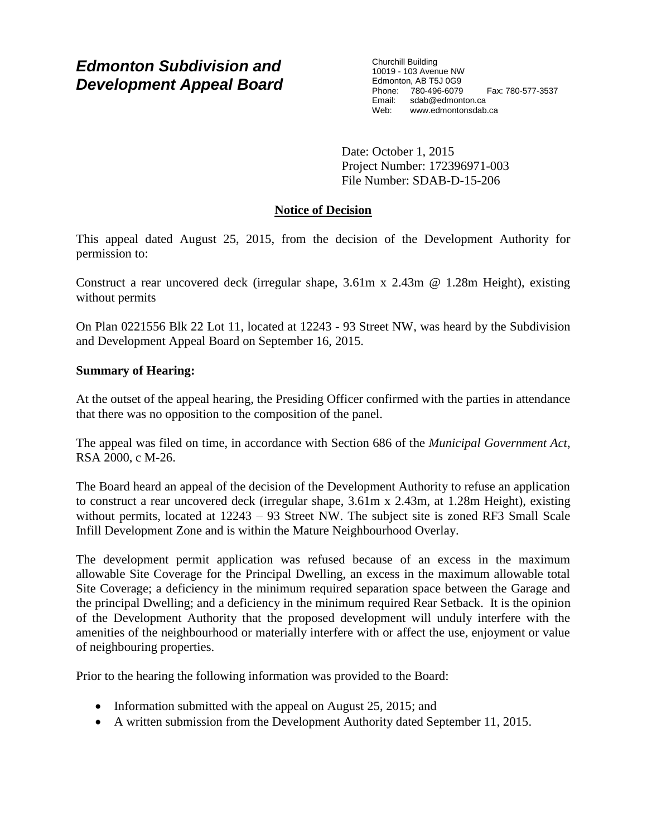# *Edmonton Subdivision and Development Appeal Board*

Churchill Building 10019 - 103 Avenue NW Edmonton, AB T5J 0G9 Phone: 780-496-6079 Fax: 780-577-3537 Email: sdab@edmonton.ca<br>Web: www.edmonton.ca Web: www.edmontonsdab.ca

Date: October 1, 2015 Project Number: 172396971-003 File Number: SDAB-D-15-206

## **Notice of Decision**

This appeal dated August 25, 2015, from the decision of the Development Authority for permission to:

Construct a rear uncovered deck (irregular shape, 3.61m x 2.43m @ 1.28m Height), existing without permits

On Plan 0221556 Blk 22 Lot 11, located at 12243 - 93 Street NW, was heard by the Subdivision and Development Appeal Board on September 16, 2015.

## **Summary of Hearing:**

At the outset of the appeal hearing, the Presiding Officer confirmed with the parties in attendance that there was no opposition to the composition of the panel.

The appeal was filed on time, in accordance with Section 686 of the *Municipal Government Act*, RSA 2000, c M-26.

The Board heard an appeal of the decision of the Development Authority to refuse an application to construct a rear uncovered deck (irregular shape, 3.61m x 2.43m, at 1.28m Height), existing without permits, located at 12243 – 93 Street NW. The subject site is zoned RF3 Small Scale Infill Development Zone and is within the Mature Neighbourhood Overlay.

The development permit application was refused because of an excess in the maximum allowable Site Coverage for the Principal Dwelling, an excess in the maximum allowable total Site Coverage; a deficiency in the minimum required separation space between the Garage and the principal Dwelling; and a deficiency in the minimum required Rear Setback. It is the opinion of the Development Authority that the proposed development will unduly interfere with the amenities of the neighbourhood or materially interfere with or affect the use, enjoyment or value of neighbouring properties.

Prior to the hearing the following information was provided to the Board:

- Information submitted with the appeal on August  $25$ ,  $2015$ ; and
- A written submission from the Development Authority dated September 11, 2015.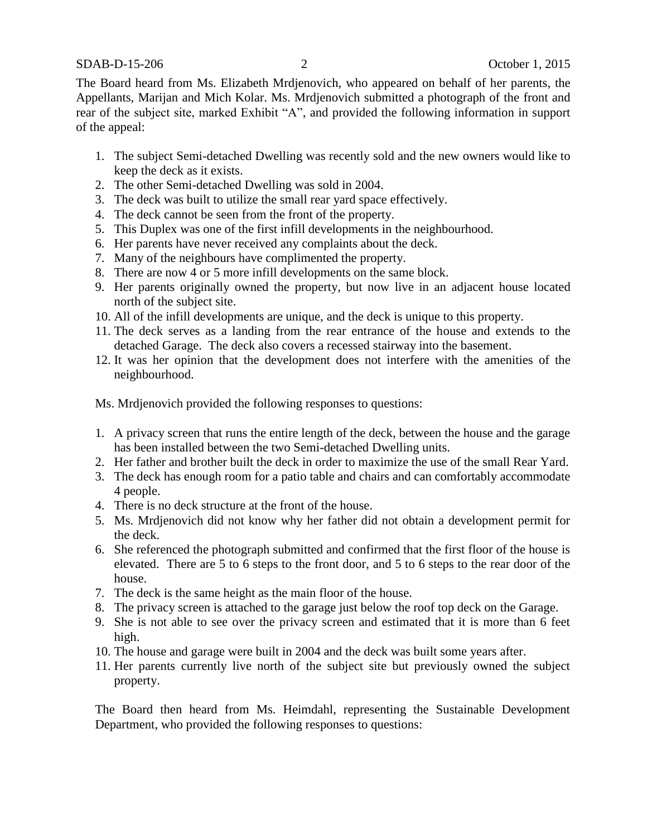The Board heard from Ms. Elizabeth Mrdjenovich, who appeared on behalf of her parents, the Appellants, Marijan and Mich Kolar. Ms. Mrdjenovich submitted a photograph of the front and rear of the subject site, marked Exhibit "A", and provided the following information in support of the appeal:

- 1. The subject Semi-detached Dwelling was recently sold and the new owners would like to keep the deck as it exists.
- 2. The other Semi-detached Dwelling was sold in 2004.
- 3. The deck was built to utilize the small rear yard space effectively.
- 4. The deck cannot be seen from the front of the property.
- 5. This Duplex was one of the first infill developments in the neighbourhood.
- 6. Her parents have never received any complaints about the deck.
- 7. Many of the neighbours have complimented the property.
- 8. There are now 4 or 5 more infill developments on the same block.
- 9. Her parents originally owned the property, but now live in an adjacent house located north of the subject site.
- 10. All of the infill developments are unique, and the deck is unique to this property.
- 11. The deck serves as a landing from the rear entrance of the house and extends to the detached Garage. The deck also covers a recessed stairway into the basement.
- 12. It was her opinion that the development does not interfere with the amenities of the neighbourhood.

Ms. Mrdjenovich provided the following responses to questions:

- 1. A privacy screen that runs the entire length of the deck, between the house and the garage has been installed between the two Semi-detached Dwelling units.
- 2. Her father and brother built the deck in order to maximize the use of the small Rear Yard.
- 3. The deck has enough room for a patio table and chairs and can comfortably accommodate 4 people.
- 4. There is no deck structure at the front of the house.
- 5. Ms. Mrdjenovich did not know why her father did not obtain a development permit for the deck.
- 6. She referenced the photograph submitted and confirmed that the first floor of the house is elevated. There are 5 to 6 steps to the front door, and 5 to 6 steps to the rear door of the house.
- 7. The deck is the same height as the main floor of the house.
- 8. The privacy screen is attached to the garage just below the roof top deck on the Garage.
- 9. She is not able to see over the privacy screen and estimated that it is more than 6 feet high.
- 10. The house and garage were built in 2004 and the deck was built some years after.
- 11. Her parents currently live north of the subject site but previously owned the subject property.

The Board then heard from Ms. Heimdahl, representing the Sustainable Development Department, who provided the following responses to questions: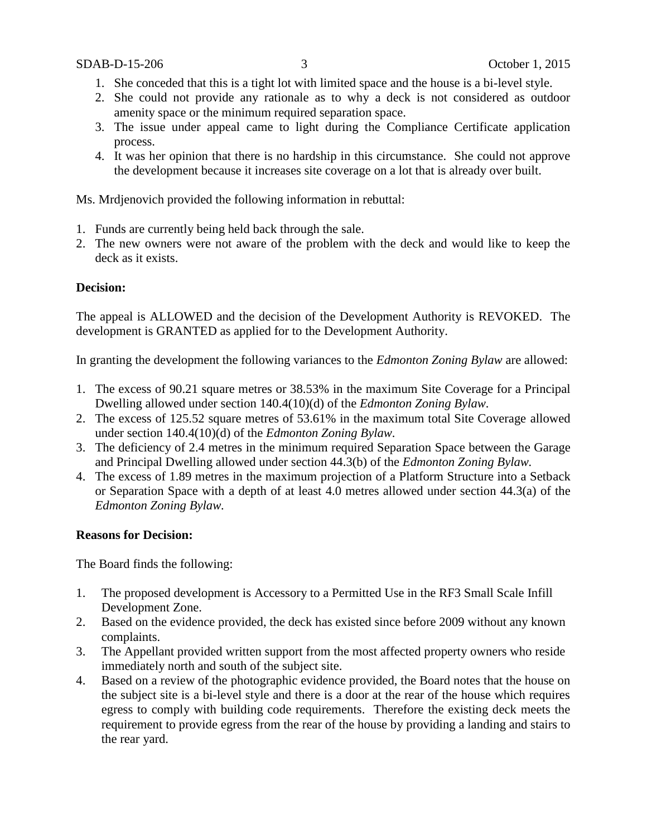- 1. She conceded that this is a tight lot with limited space and the house is a bi-level style.
- 2. She could not provide any rationale as to why a deck is not considered as outdoor amenity space or the minimum required separation space.
- 3. The issue under appeal came to light during the Compliance Certificate application process.
- 4. It was her opinion that there is no hardship in this circumstance. She could not approve the development because it increases site coverage on a lot that is already over built.

Ms. Mrdjenovich provided the following information in rebuttal:

- 1. Funds are currently being held back through the sale.
- 2. The new owners were not aware of the problem with the deck and would like to keep the deck as it exists.

### **Decision:**

The appeal is ALLOWED and the decision of the Development Authority is REVOKED. The development is GRANTED as applied for to the Development Authority.

In granting the development the following variances to the *Edmonton Zoning Bylaw* are allowed:

- 1. The excess of 90.21 square metres or 38.53% in the maximum Site Coverage for a Principal Dwelling allowed under section 140.4(10)(d) of the *Edmonton Zoning Bylaw.*
- 2. The excess of 125.52 square metres of 53.61% in the maximum total Site Coverage allowed under section 140.4(10)(d) of the *Edmonton Zoning Bylaw.*
- 3. The deficiency of 2.4 metres in the minimum required Separation Space between the Garage and Principal Dwelling allowed under section 44.3(b) of the *Edmonton Zoning Bylaw.*
- 4. The excess of 1.89 metres in the maximum projection of a Platform Structure into a Setback or Separation Space with a depth of at least 4.0 metres allowed under section 44.3(a) of the *Edmonton Zoning Bylaw.*

### **Reasons for Decision:**

The Board finds the following:

- 1. The proposed development is Accessory to a Permitted Use in the RF3 Small Scale Infill Development Zone.
- 2. Based on the evidence provided, the deck has existed since before 2009 without any known complaints.
- 3. The Appellant provided written support from the most affected property owners who reside immediately north and south of the subject site.
- 4. Based on a review of the photographic evidence provided, the Board notes that the house on the subject site is a bi-level style and there is a door at the rear of the house which requires egress to comply with building code requirements. Therefore the existing deck meets the requirement to provide egress from the rear of the house by providing a landing and stairs to the rear yard.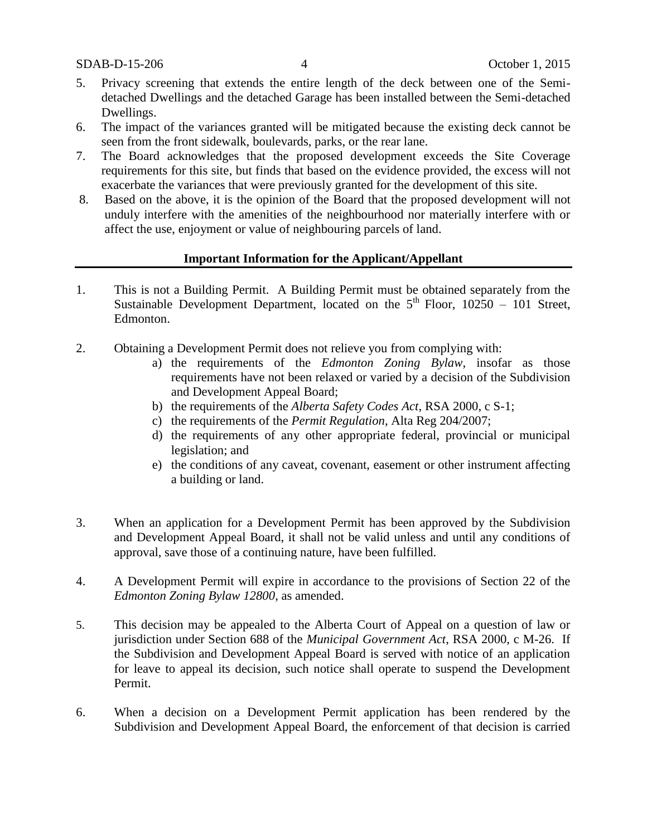- 5. Privacy screening that extends the entire length of the deck between one of the Semidetached Dwellings and the detached Garage has been installed between the Semi-detached Dwellings.
- 6. The impact of the variances granted will be mitigated because the existing deck cannot be seen from the front sidewalk, boulevards, parks, or the rear lane.
- 7. The Board acknowledges that the proposed development exceeds the Site Coverage requirements for this site, but finds that based on the evidence provided, the excess will not exacerbate the variances that were previously granted for the development of this site.
- 8. Based on the above, it is the opinion of the Board that the proposed development will not unduly interfere with the amenities of the neighbourhood nor materially interfere with or affect the use, enjoyment or value of neighbouring parcels of land.

#### **Important Information for the Applicant/Appellant**

- 1. This is not a Building Permit. A Building Permit must be obtained separately from the Sustainable Development Department, located on the  $5<sup>th</sup>$  Floor, 10250 – 101 Street, Edmonton.
- 2. Obtaining a Development Permit does not relieve you from complying with:
	- a) the requirements of the *Edmonton Zoning Bylaw*, insofar as those requirements have not been relaxed or varied by a decision of the Subdivision and Development Appeal Board;
	- b) the requirements of the *Alberta Safety Codes Act*, RSA 2000, c S-1;
	- c) the requirements of the *Permit Regulation*, Alta Reg 204/2007;
	- d) the requirements of any other appropriate federal, provincial or municipal legislation; and
	- e) the conditions of any caveat, covenant, easement or other instrument affecting a building or land.
- 3. When an application for a Development Permit has been approved by the Subdivision and Development Appeal Board, it shall not be valid unless and until any conditions of approval, save those of a continuing nature, have been fulfilled.
- 4. A Development Permit will expire in accordance to the provisions of Section 22 of the *Edmonton Zoning Bylaw 12800*, as amended.
- 5. This decision may be appealed to the Alberta Court of Appeal on a question of law or jurisdiction under Section 688 of the *Municipal Government Act*, RSA 2000, c M-26. If the Subdivision and Development Appeal Board is served with notice of an application for leave to appeal its decision, such notice shall operate to suspend the Development Permit.
- 6. When a decision on a Development Permit application has been rendered by the Subdivision and Development Appeal Board, the enforcement of that decision is carried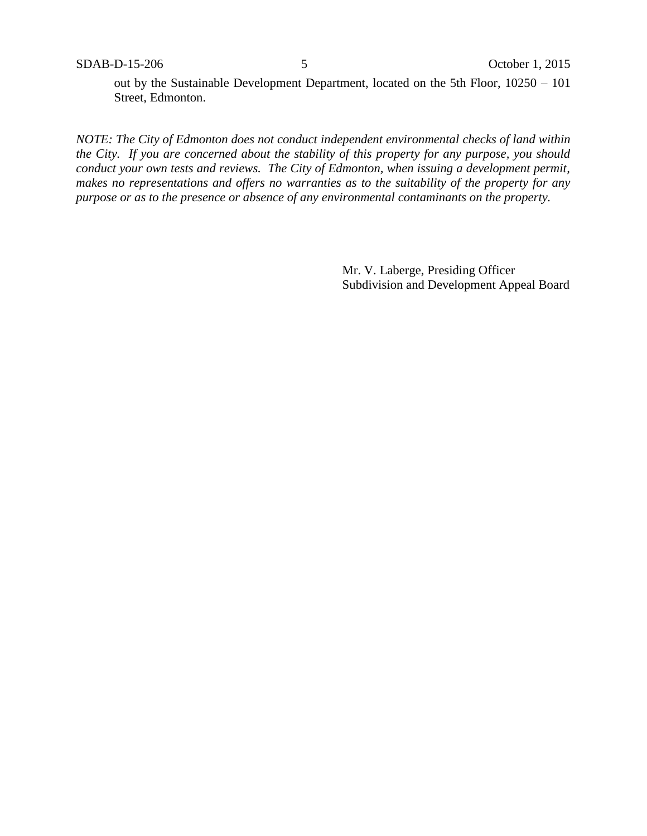out by the Sustainable Development Department, located on the 5th Floor, 10250 – 101 Street, Edmonton.

*NOTE: The City of Edmonton does not conduct independent environmental checks of land within the City. If you are concerned about the stability of this property for any purpose, you should conduct your own tests and reviews. The City of Edmonton, when issuing a development permit, makes no representations and offers no warranties as to the suitability of the property for any purpose or as to the presence or absence of any environmental contaminants on the property.*

> Mr. V. Laberge, Presiding Officer Subdivision and Development Appeal Board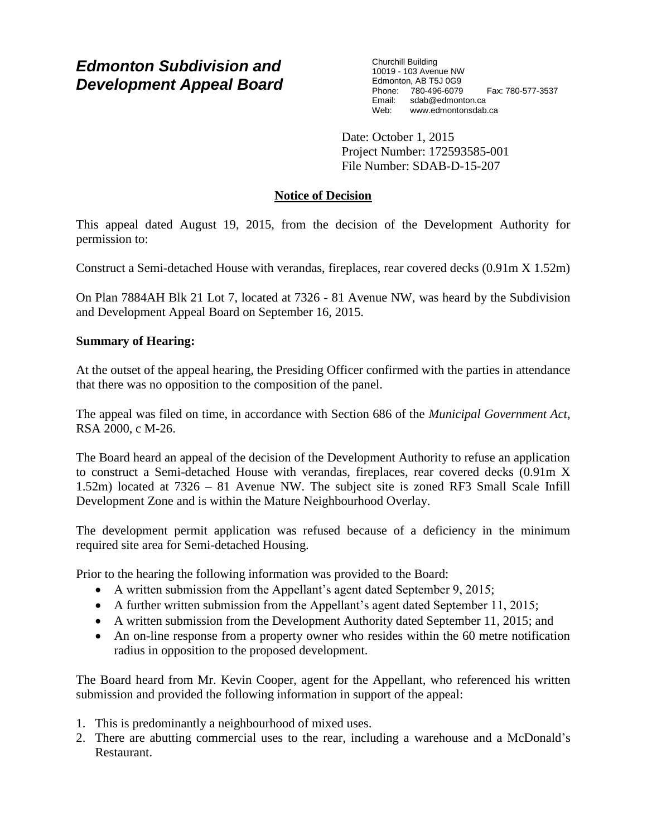# *Edmonton Subdivision and Development Appeal Board*

Churchill Building 10019 - 103 Avenue NW Edmonton, AB T5J 0G9 Phone: 780-496-6079 Fax: 780-577-3537 Email: sdab@edmonton.ca Web: www.edmontonsdab.ca

Date: October 1, 2015 Project Number: 172593585-001 File Number: SDAB-D-15-207

## **Notice of Decision**

This appeal dated August 19, 2015, from the decision of the Development Authority for permission to:

Construct a Semi-detached House with verandas, fireplaces, rear covered decks (0.91m X 1.52m)

On Plan 7884AH Blk 21 Lot 7, located at 7326 - 81 Avenue NW, was heard by the Subdivision and Development Appeal Board on September 16, 2015.

### **Summary of Hearing:**

At the outset of the appeal hearing, the Presiding Officer confirmed with the parties in attendance that there was no opposition to the composition of the panel.

The appeal was filed on time, in accordance with Section 686 of the *Municipal Government Act*, RSA 2000, c M-26.

The Board heard an appeal of the decision of the Development Authority to refuse an application to construct a Semi-detached House with verandas, fireplaces, rear covered decks (0.91m X 1.52m) located at 7326 – 81 Avenue NW. The subject site is zoned RF3 Small Scale Infill Development Zone and is within the Mature Neighbourhood Overlay.

The development permit application was refused because of a deficiency in the minimum required site area for Semi-detached Housing.

Prior to the hearing the following information was provided to the Board:

- A written submission from the Appellant's agent dated September 9, 2015;
- A further written submission from the Appellant's agent dated September 11, 2015;
- A written submission from the Development Authority dated September 11, 2015; and
- An on-line response from a property owner who resides within the 60 metre notification radius in opposition to the proposed development.

The Board heard from Mr. Kevin Cooper, agent for the Appellant, who referenced his written submission and provided the following information in support of the appeal:

- 1. This is predominantly a neighbourhood of mixed uses.
- 2. There are abutting commercial uses to the rear, including a warehouse and a McDonald's Restaurant.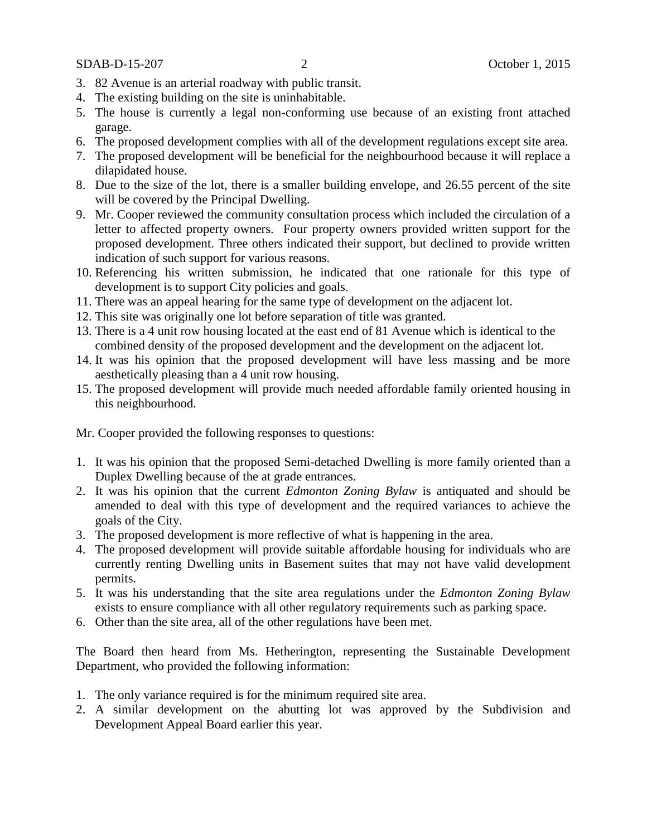- 3. 82 Avenue is an arterial roadway with public transit.
- 4. The existing building on the site is uninhabitable.
- 5. The house is currently a legal non-conforming use because of an existing front attached garage.
- 6. The proposed development complies with all of the development regulations except site area.
- 7. The proposed development will be beneficial for the neighbourhood because it will replace a dilapidated house.
- 8. Due to the size of the lot, there is a smaller building envelope, and 26.55 percent of the site will be covered by the Principal Dwelling.
- 9. Mr. Cooper reviewed the community consultation process which included the circulation of a letter to affected property owners. Four property owners provided written support for the proposed development. Three others indicated their support, but declined to provide written indication of such support for various reasons.
- 10. Referencing his written submission, he indicated that one rationale for this type of development is to support City policies and goals.
- 11. There was an appeal hearing for the same type of development on the adjacent lot.
- 12. This site was originally one lot before separation of title was granted.
- 13. There is a 4 unit row housing located at the east end of 81 Avenue which is identical to the combined density of the proposed development and the development on the adjacent lot.
- 14. It was his opinion that the proposed development will have less massing and be more aesthetically pleasing than a 4 unit row housing.
- 15. The proposed development will provide much needed affordable family oriented housing in this neighbourhood.

Mr. Cooper provided the following responses to questions:

- 1. It was his opinion that the proposed Semi-detached Dwelling is more family oriented than a Duplex Dwelling because of the at grade entrances.
- 2. It was his opinion that the current *Edmonton Zoning Bylaw* is antiquated and should be amended to deal with this type of development and the required variances to achieve the goals of the City.
- 3. The proposed development is more reflective of what is happening in the area.
- 4. The proposed development will provide suitable affordable housing for individuals who are currently renting Dwelling units in Basement suites that may not have valid development permits.
- 5. It was his understanding that the site area regulations under the *Edmonton Zoning Bylaw* exists to ensure compliance with all other regulatory requirements such as parking space.
- 6. Other than the site area, all of the other regulations have been met.

The Board then heard from Ms. Hetherington, representing the Sustainable Development Department, who provided the following information:

- 1. The only variance required is for the minimum required site area.
- 2. A similar development on the abutting lot was approved by the Subdivision and Development Appeal Board earlier this year.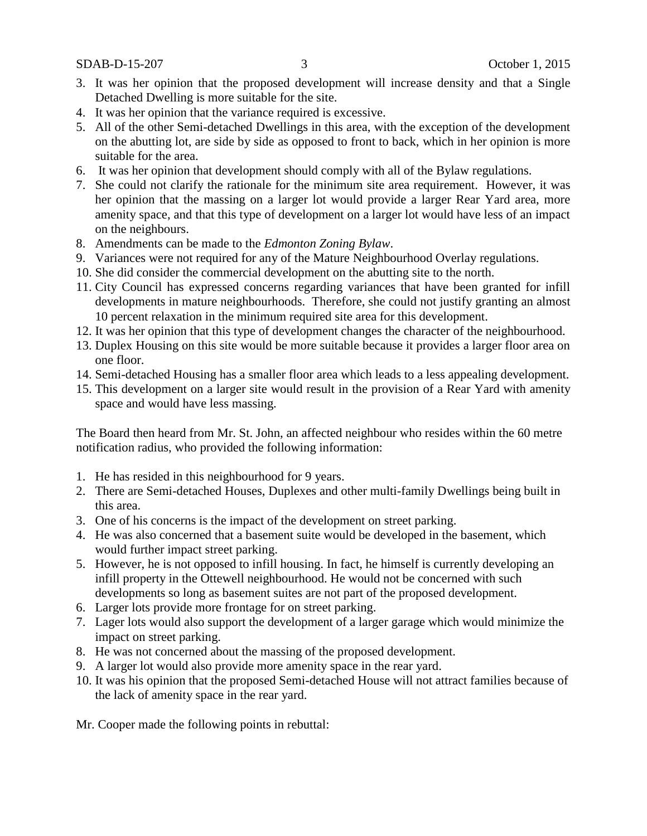SDAB-D-15-207 3 October 1, 2015

- 3. It was her opinion that the proposed development will increase density and that a Single Detached Dwelling is more suitable for the site.
- 4. It was her opinion that the variance required is excessive.
- 5. All of the other Semi-detached Dwellings in this area, with the exception of the development on the abutting lot, are side by side as opposed to front to back, which in her opinion is more suitable for the area.
- 6. It was her opinion that development should comply with all of the Bylaw regulations.
- 7. She could not clarify the rationale for the minimum site area requirement. However, it was her opinion that the massing on a larger lot would provide a larger Rear Yard area, more amenity space, and that this type of development on a larger lot would have less of an impact on the neighbours.
- 8. Amendments can be made to the *Edmonton Zoning Bylaw*.
- 9. Variances were not required for any of the Mature Neighbourhood Overlay regulations.
- 10. She did consider the commercial development on the abutting site to the north.
- 11. City Council has expressed concerns regarding variances that have been granted for infill developments in mature neighbourhoods. Therefore, she could not justify granting an almost 10 percent relaxation in the minimum required site area for this development.
- 12. It was her opinion that this type of development changes the character of the neighbourhood.
- 13. Duplex Housing on this site would be more suitable because it provides a larger floor area on one floor.
- 14. Semi-detached Housing has a smaller floor area which leads to a less appealing development.
- 15. This development on a larger site would result in the provision of a Rear Yard with amenity space and would have less massing.

The Board then heard from Mr. St. John, an affected neighbour who resides within the 60 metre notification radius, who provided the following information:

- 1. He has resided in this neighbourhood for 9 years.
- 2. There are Semi-detached Houses, Duplexes and other multi-family Dwellings being built in this area.
- 3. One of his concerns is the impact of the development on street parking.
- 4. He was also concerned that a basement suite would be developed in the basement, which would further impact street parking.
- 5. However, he is not opposed to infill housing. In fact, he himself is currently developing an infill property in the Ottewell neighbourhood. He would not be concerned with such developments so long as basement suites are not part of the proposed development.
- 6. Larger lots provide more frontage for on street parking.
- 7. Lager lots would also support the development of a larger garage which would minimize the impact on street parking.
- 8. He was not concerned about the massing of the proposed development.
- 9. A larger lot would also provide more amenity space in the rear yard.
- 10. It was his opinion that the proposed Semi-detached House will not attract families because of the lack of amenity space in the rear yard.

Mr. Cooper made the following points in rebuttal: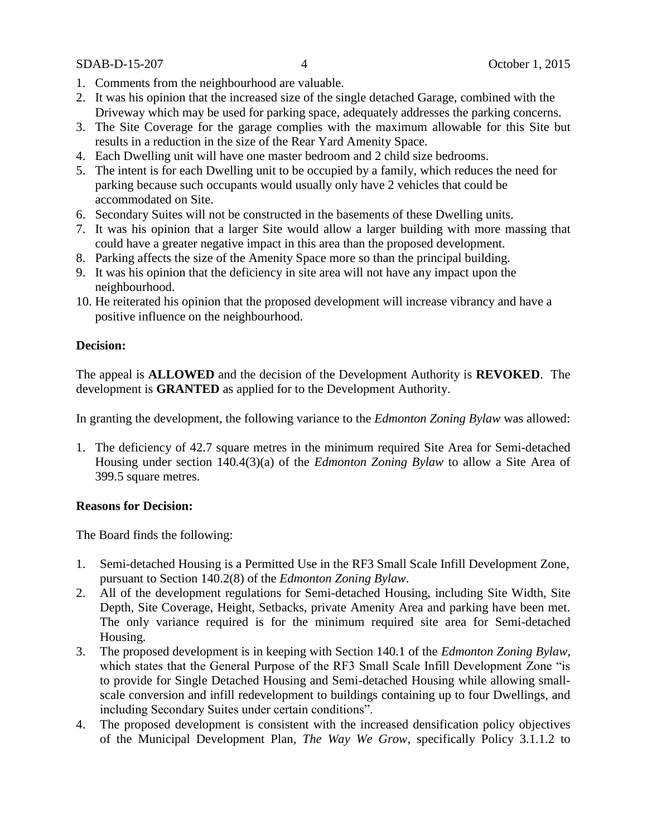SDAB-D-15-207 4 October 1, 2015

- 1. Comments from the neighbourhood are valuable.
- 2. It was his opinion that the increased size of the single detached Garage, combined with the Driveway which may be used for parking space, adequately addresses the parking concerns.
- 3. The Site Coverage for the garage complies with the maximum allowable for this Site but results in a reduction in the size of the Rear Yard Amenity Space.
- 4. Each Dwelling unit will have one master bedroom and 2 child size bedrooms.
- 5. The intent is for each Dwelling unit to be occupied by a family, which reduces the need for parking because such occupants would usually only have 2 vehicles that could be accommodated on Site.
- 6. Secondary Suites will not be constructed in the basements of these Dwelling units.
- 7. It was his opinion that a larger Site would allow a larger building with more massing that could have a greater negative impact in this area than the proposed development.
- 8. Parking affects the size of the Amenity Space more so than the principal building.
- 9. It was his opinion that the deficiency in site area will not have any impact upon the neighbourhood.
- 10. He reiterated his opinion that the proposed development will increase vibrancy and have a positive influence on the neighbourhood.

### **Decision:**

The appeal is **ALLOWED** and the decision of the Development Authority is **REVOKED**. The development is **GRANTED** as applied for to the Development Authority.

In granting the development, the following variance to the *Edmonton Zoning Bylaw* was allowed:

1. The deficiency of 42.7 square metres in the minimum required Site Area for Semi-detached Housing under section 140.4(3)(a) of the *Edmonton Zoning Bylaw* to allow a Site Area of 399.5 square metres.

### **Reasons for Decision:**

The Board finds the following:

- 1. Semi-detached Housing is a Permitted Use in the RF3 Small Scale Infill Development Zone, pursuant to Section 140.2(8) of the *Edmonton Zoning Bylaw*.
- 2. All of the development regulations for Semi-detached Housing, including Site Width, Site Depth, Site Coverage, Height, Setbacks, private Amenity Area and parking have been met. The only variance required is for the minimum required site area for Semi-detached Housing.
- 3. The proposed development is in keeping with Section 140.1 of the *Edmonton Zoning Bylaw*, which states that the General Purpose of the RF3 Small Scale Infill Development Zone "is to provide for Single Detached Housing and Semi-detached Housing while allowing smallscale conversion and infill redevelopment to buildings containing up to four Dwellings, and including Secondary Suites under certain conditions".
- 4. The proposed development is consistent with the increased densification policy objectives of the Municipal Development Plan, *The Way We Grow*, specifically Policy 3.1.1.2 to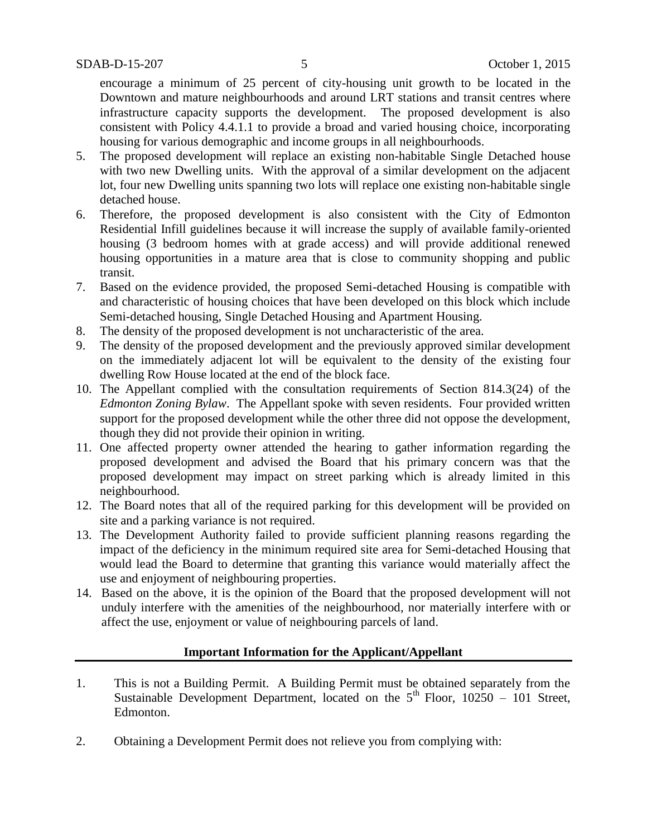encourage a minimum of 25 percent of city-housing unit growth to be located in the Downtown and mature neighbourhoods and around LRT stations and transit centres where infrastructure capacity supports the development. The proposed development is also consistent with Policy 4.4.1.1 to provide a broad and varied housing choice, incorporating housing for various demographic and income groups in all neighbourhoods.

- 5. The proposed development will replace an existing non-habitable Single Detached house with two new Dwelling units. With the approval of a similar development on the adjacent lot, four new Dwelling units spanning two lots will replace one existing non-habitable single detached house.
- 6. Therefore, the proposed development is also consistent with the City of Edmonton Residential Infill guidelines because it will increase the supply of available family-oriented housing (3 bedroom homes with at grade access) and will provide additional renewed housing opportunities in a mature area that is close to community shopping and public transit.
- 7. Based on the evidence provided, the proposed Semi-detached Housing is compatible with and characteristic of housing choices that have been developed on this block which include Semi-detached housing, Single Detached Housing and Apartment Housing.
- 8. The density of the proposed development is not uncharacteristic of the area.
- 9. The density of the proposed development and the previously approved similar development on the immediately adjacent lot will be equivalent to the density of the existing four dwelling Row House located at the end of the block face.
- 10. The Appellant complied with the consultation requirements of Section 814.3(24) of the *Edmonton Zoning Bylaw*. The Appellant spoke with seven residents. Four provided written support for the proposed development while the other three did not oppose the development, though they did not provide their opinion in writing.
- 11. One affected property owner attended the hearing to gather information regarding the proposed development and advised the Board that his primary concern was that the proposed development may impact on street parking which is already limited in this neighbourhood.
- 12. The Board notes that all of the required parking for this development will be provided on site and a parking variance is not required.
- 13. The Development Authority failed to provide sufficient planning reasons regarding the impact of the deficiency in the minimum required site area for Semi-detached Housing that would lead the Board to determine that granting this variance would materially affect the use and enjoyment of neighbouring properties.
- 14. Based on the above, it is the opinion of the Board that the proposed development will not unduly interfere with the amenities of the neighbourhood, nor materially interfere with or affect the use, enjoyment or value of neighbouring parcels of land.

### **Important Information for the Applicant/Appellant**

- 1. This is not a Building Permit. A Building Permit must be obtained separately from the Sustainable Development Department, located on the  $5<sup>th</sup>$  Floor, 10250 – 101 Street, Edmonton.
- 2. Obtaining a Development Permit does not relieve you from complying with: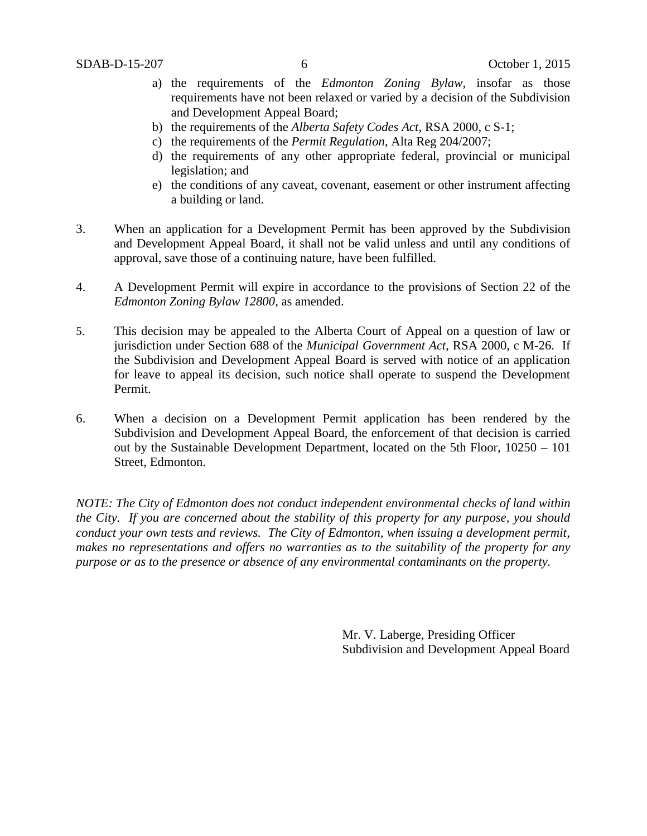- a) the requirements of the *Edmonton Zoning Bylaw*, insofar as those requirements have not been relaxed or varied by a decision of the Subdivision and Development Appeal Board;
- b) the requirements of the *Alberta Safety Codes Act*, RSA 2000, c S-1;
- c) the requirements of the *Permit Regulation*, Alta Reg 204/2007;
- d) the requirements of any other appropriate federal, provincial or municipal legislation; and
- e) the conditions of any caveat, covenant, easement or other instrument affecting a building or land.
- 3. When an application for a Development Permit has been approved by the Subdivision and Development Appeal Board, it shall not be valid unless and until any conditions of approval, save those of a continuing nature, have been fulfilled.
- 4. A Development Permit will expire in accordance to the provisions of Section 22 of the *Edmonton Zoning Bylaw 12800*, as amended.
- 5. This decision may be appealed to the Alberta Court of Appeal on a question of law or jurisdiction under Section 688 of the *Municipal Government Act*, RSA 2000, c M-26. If the Subdivision and Development Appeal Board is served with notice of an application for leave to appeal its decision, such notice shall operate to suspend the Development Permit.
- 6. When a decision on a Development Permit application has been rendered by the Subdivision and Development Appeal Board, the enforcement of that decision is carried out by the Sustainable Development Department, located on the 5th Floor, 10250 – 101 Street, Edmonton.

*NOTE: The City of Edmonton does not conduct independent environmental checks of land within the City. If you are concerned about the stability of this property for any purpose, you should conduct your own tests and reviews. The City of Edmonton, when issuing a development permit, makes no representations and offers no warranties as to the suitability of the property for any purpose or as to the presence or absence of any environmental contaminants on the property.*

> Mr. V. Laberge, Presiding Officer Subdivision and Development Appeal Board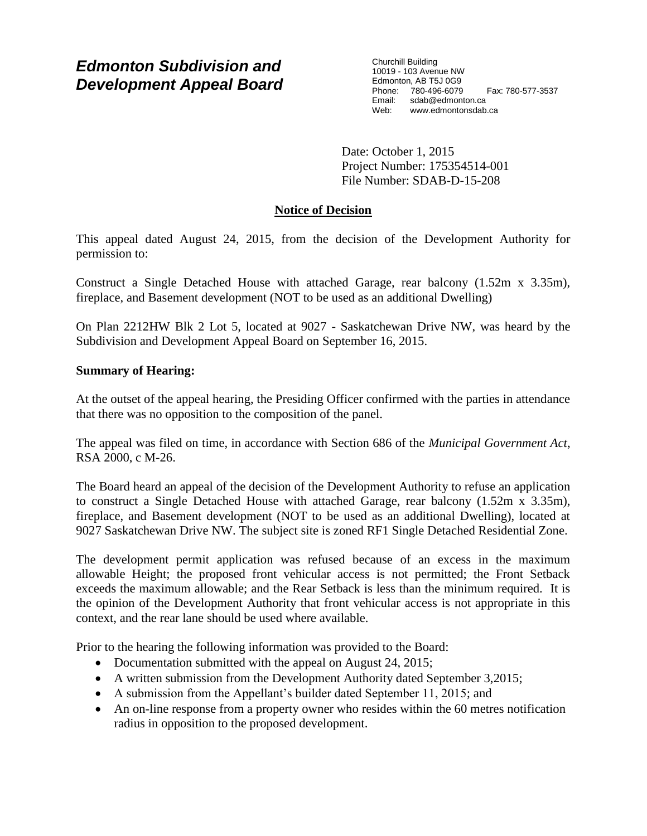# *Edmonton Subdivision and Development Appeal Board*

Churchill Building 10019 - 103 Avenue NW Edmonton, AB T5J 0G9 Phone: 780-496-6079 Fax: 780-577-3537 Email: sdab@edmonton.ca<br>Web: www.edmonton.ca Web: www.edmontonsdab.ca

Date: October 1, 2015 Project Number: 175354514-001 File Number: SDAB-D-15-208

## **Notice of Decision**

This appeal dated August 24, 2015, from the decision of the Development Authority for permission to:

Construct a Single Detached House with attached Garage, rear balcony (1.52m x 3.35m), fireplace, and Basement development (NOT to be used as an additional Dwelling)

On Plan 2212HW Blk 2 Lot 5, located at 9027 - Saskatchewan Drive NW, was heard by the Subdivision and Development Appeal Board on September 16, 2015.

## **Summary of Hearing:**

At the outset of the appeal hearing, the Presiding Officer confirmed with the parties in attendance that there was no opposition to the composition of the panel.

The appeal was filed on time, in accordance with Section 686 of the *Municipal Government Act*, RSA 2000, c M-26.

The Board heard an appeal of the decision of the Development Authority to refuse an application to construct a Single Detached House with attached Garage, rear balcony (1.52m x 3.35m), fireplace, and Basement development (NOT to be used as an additional Dwelling), located at 9027 Saskatchewan Drive NW. The subject site is zoned RF1 Single Detached Residential Zone.

The development permit application was refused because of an excess in the maximum allowable Height; the proposed front vehicular access is not permitted; the Front Setback exceeds the maximum allowable; and the Rear Setback is less than the minimum required. It is the opinion of the Development Authority that front vehicular access is not appropriate in this context, and the rear lane should be used where available.

Prior to the hearing the following information was provided to the Board:

- Documentation submitted with the appeal on August 24, 2015;
- A written submission from the Development Authority dated September 3,2015;
- A submission from the Appellant's builder dated September 11, 2015; and
- An on-line response from a property owner who resides within the 60 metres notification radius in opposition to the proposed development.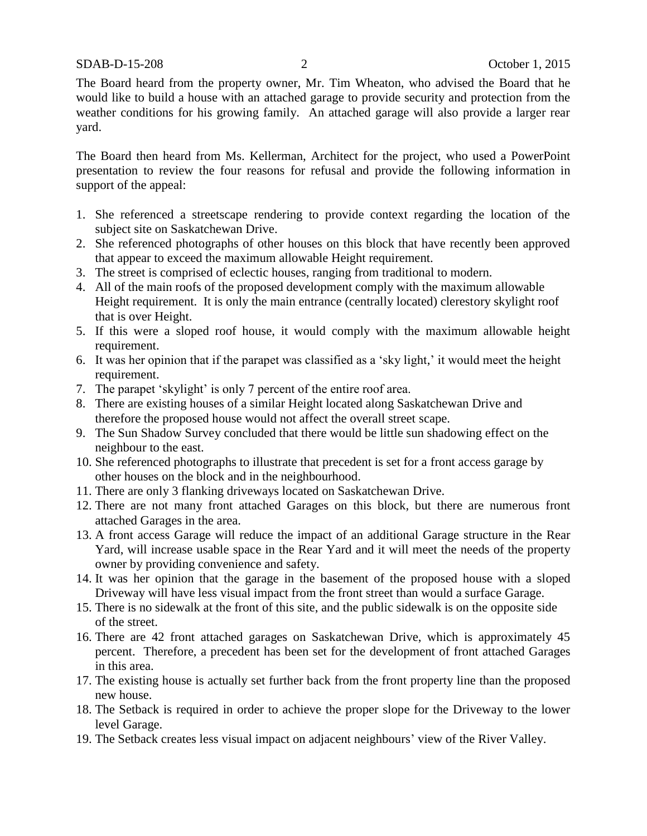SDAB-D-15-208 2 October 1, 2015

The Board heard from the property owner, Mr. Tim Wheaton, who advised the Board that he would like to build a house with an attached garage to provide security and protection from the weather conditions for his growing family. An attached garage will also provide a larger rear yard.

The Board then heard from Ms. Kellerman, Architect for the project, who used a PowerPoint presentation to review the four reasons for refusal and provide the following information in support of the appeal:

- 1. She referenced a streetscape rendering to provide context regarding the location of the subject site on Saskatchewan Drive.
- 2. She referenced photographs of other houses on this block that have recently been approved that appear to exceed the maximum allowable Height requirement.
- 3. The street is comprised of eclectic houses, ranging from traditional to modern.
- 4. All of the main roofs of the proposed development comply with the maximum allowable Height requirement. It is only the main entrance (centrally located) clerestory skylight roof that is over Height.
- 5. If this were a sloped roof house, it would comply with the maximum allowable height requirement.
- 6. It was her opinion that if the parapet was classified as a 'sky light,' it would meet the height requirement.
- 7. The parapet 'skylight' is only 7 percent of the entire roof area.
- 8. There are existing houses of a similar Height located along Saskatchewan Drive and therefore the proposed house would not affect the overall street scape.
- 9. The Sun Shadow Survey concluded that there would be little sun shadowing effect on the neighbour to the east.
- 10. She referenced photographs to illustrate that precedent is set for a front access garage by other houses on the block and in the neighbourhood.
- 11. There are only 3 flanking driveways located on Saskatchewan Drive.
- 12. There are not many front attached Garages on this block, but there are numerous front attached Garages in the area.
- 13. A front access Garage will reduce the impact of an additional Garage structure in the Rear Yard, will increase usable space in the Rear Yard and it will meet the needs of the property owner by providing convenience and safety.
- 14. It was her opinion that the garage in the basement of the proposed house with a sloped Driveway will have less visual impact from the front street than would a surface Garage.
- 15. There is no sidewalk at the front of this site, and the public sidewalk is on the opposite side of the street.
- 16. There are 42 front attached garages on Saskatchewan Drive, which is approximately 45 percent. Therefore, a precedent has been set for the development of front attached Garages in this area.
- 17. The existing house is actually set further back from the front property line than the proposed new house.
- 18. The Setback is required in order to achieve the proper slope for the Driveway to the lower level Garage.
- 19. The Setback creates less visual impact on adjacent neighbours' view of the River Valley.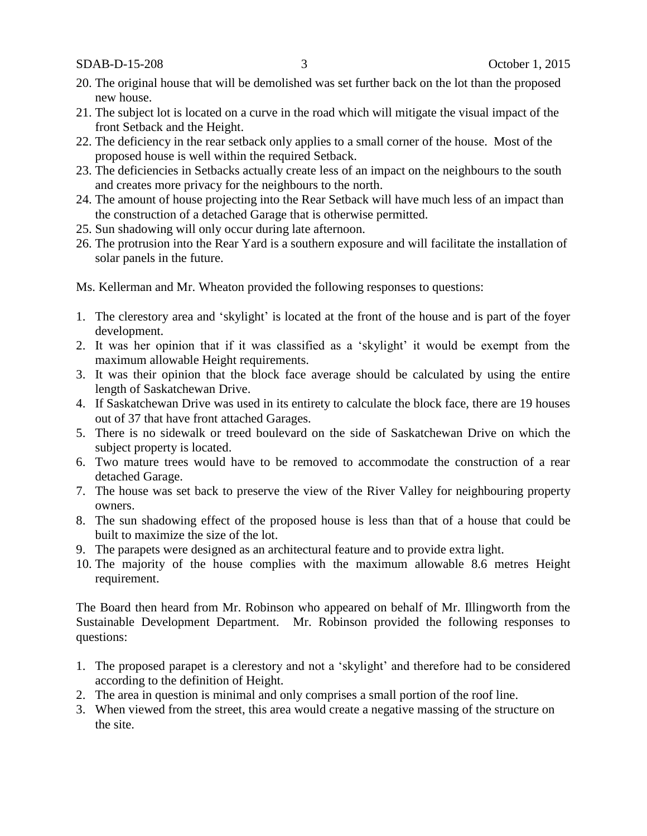SDAB-D-15-208 3 October 1, 2015

- 20. The original house that will be demolished was set further back on the lot than the proposed new house.
- 21. The subject lot is located on a curve in the road which will mitigate the visual impact of the front Setback and the Height.
- 22. The deficiency in the rear setback only applies to a small corner of the house. Most of the proposed house is well within the required Setback.
- 23. The deficiencies in Setbacks actually create less of an impact on the neighbours to the south and creates more privacy for the neighbours to the north.
- 24. The amount of house projecting into the Rear Setback will have much less of an impact than the construction of a detached Garage that is otherwise permitted.
- 25. Sun shadowing will only occur during late afternoon.
- 26. The protrusion into the Rear Yard is a southern exposure and will facilitate the installation of solar panels in the future.

Ms. Kellerman and Mr. Wheaton provided the following responses to questions:

- 1. The clerestory area and 'skylight' is located at the front of the house and is part of the foyer development.
- 2. It was her opinion that if it was classified as a 'skylight' it would be exempt from the maximum allowable Height requirements.
- 3. It was their opinion that the block face average should be calculated by using the entire length of Saskatchewan Drive.
- 4. If Saskatchewan Drive was used in its entirety to calculate the block face, there are 19 houses out of 37 that have front attached Garages.
- 5. There is no sidewalk or treed boulevard on the side of Saskatchewan Drive on which the subject property is located.
- 6. Two mature trees would have to be removed to accommodate the construction of a rear detached Garage.
- 7. The house was set back to preserve the view of the River Valley for neighbouring property owners.
- 8. The sun shadowing effect of the proposed house is less than that of a house that could be built to maximize the size of the lot.
- 9. The parapets were designed as an architectural feature and to provide extra light.
- 10. The majority of the house complies with the maximum allowable 8.6 metres Height requirement.

The Board then heard from Mr. Robinson who appeared on behalf of Mr. Illingworth from the Sustainable Development Department. Mr. Robinson provided the following responses to questions:

- 1. The proposed parapet is a clerestory and not a 'skylight' and therefore had to be considered according to the definition of Height.
- 2. The area in question is minimal and only comprises a small portion of the roof line.
- 3. When viewed from the street, this area would create a negative massing of the structure on the site.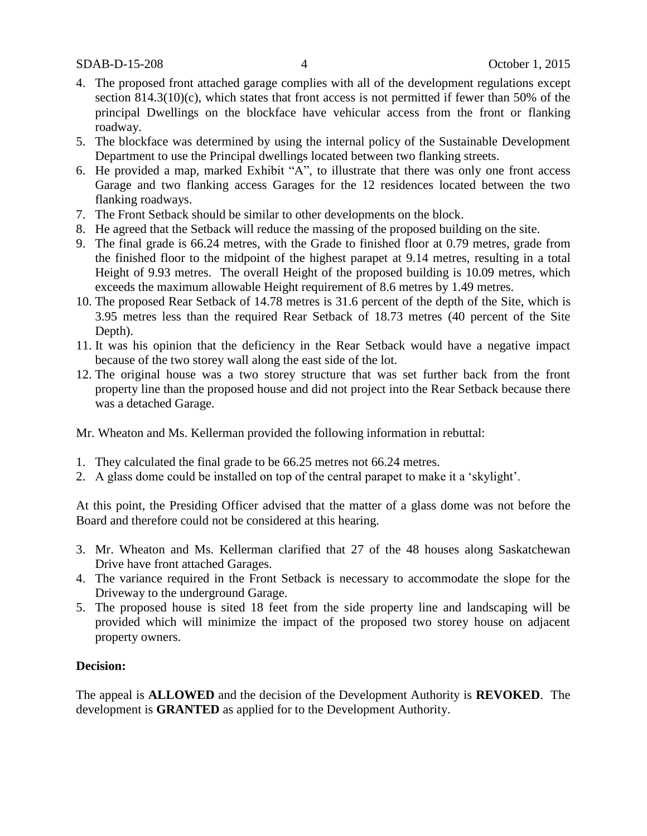- 4. The proposed front attached garage complies with all of the development regulations except section  $814.3(10)(c)$ , which states that front access is not permitted if fewer than 50% of the principal Dwellings on the blockface have vehicular access from the front or flanking roadway.
- 5. The blockface was determined by using the internal policy of the Sustainable Development Department to use the Principal dwellings located between two flanking streets.
- 6. He provided a map, marked Exhibit "A", to illustrate that there was only one front access Garage and two flanking access Garages for the 12 residences located between the two flanking roadways.
- 7. The Front Setback should be similar to other developments on the block.
- 8. He agreed that the Setback will reduce the massing of the proposed building on the site.
- 9. The final grade is 66.24 metres, with the Grade to finished floor at 0.79 metres, grade from the finished floor to the midpoint of the highest parapet at 9.14 metres, resulting in a total Height of 9.93 metres. The overall Height of the proposed building is 10.09 metres, which exceeds the maximum allowable Height requirement of 8.6 metres by 1.49 metres.
- 10. The proposed Rear Setback of 14.78 metres is 31.6 percent of the depth of the Site, which is 3.95 metres less than the required Rear Setback of 18.73 metres (40 percent of the Site Depth).
- 11. It was his opinion that the deficiency in the Rear Setback would have a negative impact because of the two storey wall along the east side of the lot.
- 12. The original house was a two storey structure that was set further back from the front property line than the proposed house and did not project into the Rear Setback because there was a detached Garage.

Mr. Wheaton and Ms. Kellerman provided the following information in rebuttal:

- 1. They calculated the final grade to be 66.25 metres not 66.24 metres.
- 2. A glass dome could be installed on top of the central parapet to make it a 'skylight'.

At this point, the Presiding Officer advised that the matter of a glass dome was not before the Board and therefore could not be considered at this hearing.

- 3. Mr. Wheaton and Ms. Kellerman clarified that 27 of the 48 houses along Saskatchewan Drive have front attached Garages.
- 4. The variance required in the Front Setback is necessary to accommodate the slope for the Driveway to the underground Garage.
- 5. The proposed house is sited 18 feet from the side property line and landscaping will be provided which will minimize the impact of the proposed two storey house on adjacent property owners.

### **Decision:**

The appeal is **ALLOWED** and the decision of the Development Authority is **REVOKED**. The development is **GRANTED** as applied for to the Development Authority.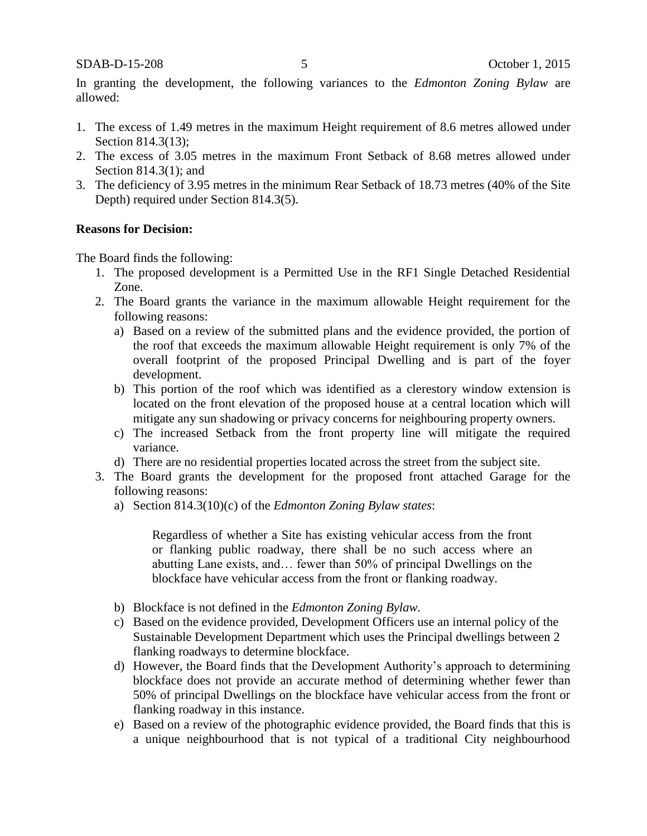In granting the development, the following variances to the *Edmonton Zoning Bylaw* are allowed:

- 1. The excess of 1.49 metres in the maximum Height requirement of 8.6 metres allowed under Section 814.3(13):
- 2. The excess of 3.05 metres in the maximum Front Setback of 8.68 metres allowed under Section 814.3(1); and
- 3. The deficiency of 3.95 metres in the minimum Rear Setback of 18.73 metres (40% of the Site Depth) required under Section 814.3(5).

#### **Reasons for Decision:**

The Board finds the following:

- 1. The proposed development is a Permitted Use in the RF1 Single Detached Residential Zone.
- 2. The Board grants the variance in the maximum allowable Height requirement for the following reasons:
	- a) Based on a review of the submitted plans and the evidence provided, the portion of the roof that exceeds the maximum allowable Height requirement is only 7% of the overall footprint of the proposed Principal Dwelling and is part of the foyer development.
	- b) This portion of the roof which was identified as a clerestory window extension is located on the front elevation of the proposed house at a central location which will mitigate any sun shadowing or privacy concerns for neighbouring property owners.
	- c) The increased Setback from the front property line will mitigate the required variance.
	- d) There are no residential properties located across the street from the subject site.
- 3. The Board grants the development for the proposed front attached Garage for the following reasons:
	- a) Section 814.3(10)(c) of the *Edmonton Zoning Bylaw states*:

Regardless of whether a Site has existing vehicular access from the front or flanking public roadway, there shall be no such access where an abutting Lane exists, and… fewer than 50% of principal Dwellings on the blockface have vehicular access from the front or flanking roadway.

- b) Blockface is not defined in the *Edmonton Zoning Bylaw.*
- c) Based on the evidence provided*,* Development Officers use an internal policy of the Sustainable Development Department which uses the Principal dwellings between 2 flanking roadways to determine blockface.
- d) However, the Board finds that the Development Authority's approach to determining blockface does not provide an accurate method of determining whether fewer than 50% of principal Dwellings on the blockface have vehicular access from the front or flanking roadway in this instance.
- e) Based on a review of the photographic evidence provided, the Board finds that this is a unique neighbourhood that is not typical of a traditional City neighbourhood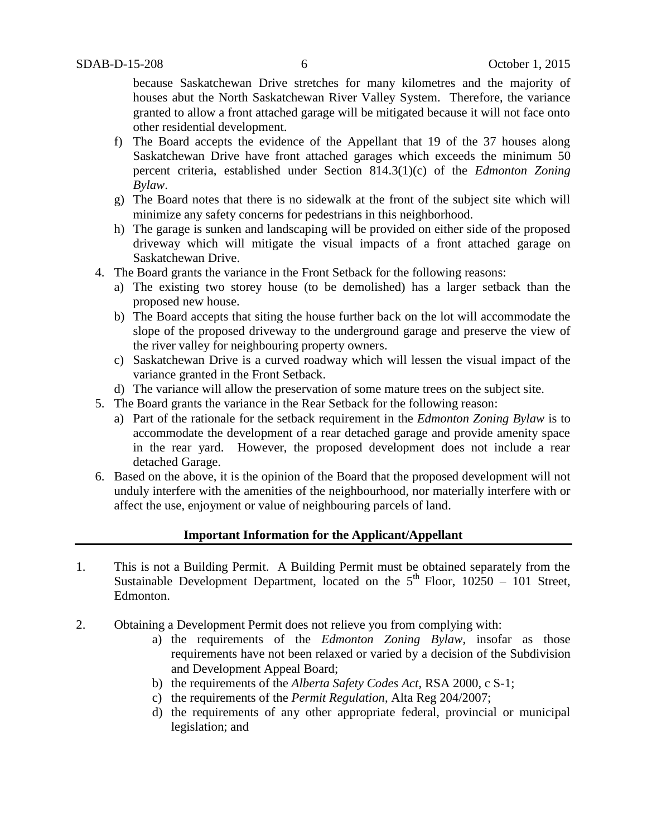because Saskatchewan Drive stretches for many kilometres and the majority of houses abut the North Saskatchewan River Valley System. Therefore, the variance granted to allow a front attached garage will be mitigated because it will not face onto other residential development.

- f) The Board accepts the evidence of the Appellant that 19 of the 37 houses along Saskatchewan Drive have front attached garages which exceeds the minimum 50 percent criteria, established under Section 814.3(1)(c) of the *Edmonton Zoning Bylaw*.
- g) The Board notes that there is no sidewalk at the front of the subject site which will minimize any safety concerns for pedestrians in this neighborhood.
- h) The garage is sunken and landscaping will be provided on either side of the proposed driveway which will mitigate the visual impacts of a front attached garage on Saskatchewan Drive.
- 4. The Board grants the variance in the Front Setback for the following reasons:
	- a) The existing two storey house (to be demolished) has a larger setback than the proposed new house.
	- b) The Board accepts that siting the house further back on the lot will accommodate the slope of the proposed driveway to the underground garage and preserve the view of the river valley for neighbouring property owners.
	- c) Saskatchewan Drive is a curved roadway which will lessen the visual impact of the variance granted in the Front Setback.
	- d) The variance will allow the preservation of some mature trees on the subject site.
- 5. The Board grants the variance in the Rear Setback for the following reason:
	- a) Part of the rationale for the setback requirement in the *Edmonton Zoning Bylaw* is to accommodate the development of a rear detached garage and provide amenity space in the rear yard. However, the proposed development does not include a rear detached Garage.
- 6. Based on the above, it is the opinion of the Board that the proposed development will not unduly interfere with the amenities of the neighbourhood, nor materially interfere with or affect the use, enjoyment or value of neighbouring parcels of land.

### **Important Information for the Applicant/Appellant**

- 1. This is not a Building Permit. A Building Permit must be obtained separately from the Sustainable Development Department, located on the  $5<sup>th</sup>$  Floor, 10250 – 101 Street, Edmonton.
- 2. Obtaining a Development Permit does not relieve you from complying with:
	- a) the requirements of the *Edmonton Zoning Bylaw*, insofar as those requirements have not been relaxed or varied by a decision of the Subdivision and Development Appeal Board;
	- b) the requirements of the *Alberta Safety Codes Act*, RSA 2000, c S-1;
	- c) the requirements of the *Permit Regulation*, Alta Reg 204/2007;
	- d) the requirements of any other appropriate federal, provincial or municipal legislation; and